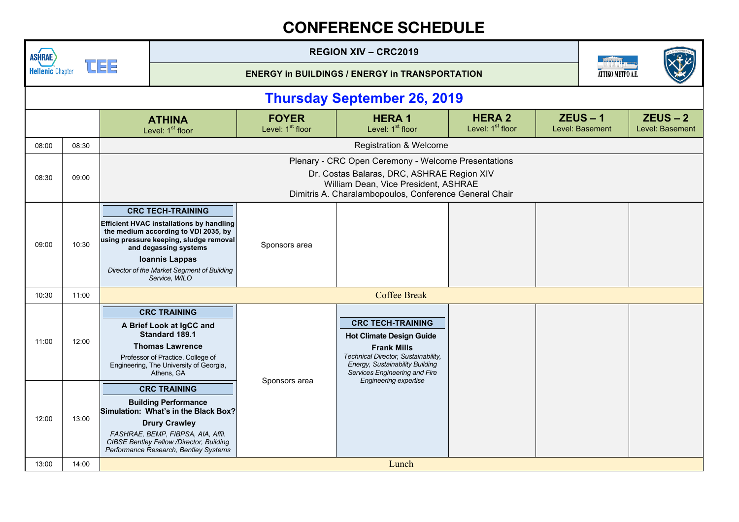| <b>ASHRAE</b>           |       |    |                                                                                                                                                                                                                                                                                |                                              | <b>REGION XIV - CRC2019</b>                                                                                                                                                                         |                                               |                               |                  |                               |
|-------------------------|-------|----|--------------------------------------------------------------------------------------------------------------------------------------------------------------------------------------------------------------------------------------------------------------------------------|----------------------------------------------|-----------------------------------------------------------------------------------------------------------------------------------------------------------------------------------------------------|-----------------------------------------------|-------------------------------|------------------|-------------------------------|
| <b>Hellenic Chapter</b> |       | 팀트 |                                                                                                                                                                                                                                                                                |                                              | <b>ENERGY in BUILDINGS / ENERGY in TRANSPORTATION</b>                                                                                                                                               |                                               |                               | ATTIKO METPO A.E |                               |
|                         |       |    |                                                                                                                                                                                                                                                                                |                                              | <b>Thursday September 26, 2019</b>                                                                                                                                                                  |                                               |                               |                  |                               |
|                         |       |    | <b>ATHINA</b><br>Level: 1 <sup>st</sup> floor                                                                                                                                                                                                                                  | <b>FOYER</b><br>Level: 1 <sup>st</sup> floor | <b>HERA1</b><br>Level: 1 <sup>st</sup> floor                                                                                                                                                        | <b>HERA 2</b><br>Level: 1 <sup>st</sup> floor | $ZEUS - 1$<br>Level: Basement |                  | $ZEUS - 2$<br>Level: Basement |
| 08:00                   | 08:30 |    |                                                                                                                                                                                                                                                                                |                                              | <b>Registration &amp; Welcome</b>                                                                                                                                                                   |                                               |                               |                  |                               |
| 08:30                   | 09:00 |    | Plenary - CRC Open Ceremony - Welcome Presentations<br>Dr. Costas Balaras, DRC, ASHRAE Region XIV<br>William Dean, Vice President, ASHRAE<br>Dimitris A. Charalambopoulos, Conference General Chair                                                                            |                                              |                                                                                                                                                                                                     |                                               |                               |                  |                               |
| 09:00                   | 10:30 |    | <b>CRC TECH-TRAINING</b><br><b>Efficient HVAC installations by handling</b><br>the medium according to VDI 2035, by<br>using pressure keeping, sludge removal<br>and degassing systems<br><b>Ioannis Lappas</b><br>Director of the Market Segment of Building<br>Service, WILO | Sponsors area                                |                                                                                                                                                                                                     |                                               |                               |                  |                               |
| 10:30                   | 11:00 |    |                                                                                                                                                                                                                                                                                |                                              | <b>Coffee Break</b>                                                                                                                                                                                 |                                               |                               |                  |                               |
| 11:00                   | 12:00 |    | <b>CRC TRAINING</b><br>A Brief Look at IgCC and<br>Standard 189.1<br><b>Thomas Lawrence</b><br>Professor of Practice, College of<br>Engineering, The University of Georgia,<br>Athens, GA                                                                                      |                                              | <b>CRC TECH-TRAINING</b><br><b>Hot Climate Design Guide</b><br><b>Frank Mills</b><br>Technical Director, Sustainability,<br><b>Energy, Sustainability Building</b><br>Services Engineering and Fire |                                               |                               |                  |                               |
| 12:00                   | 13:00 |    | <b>CRC TRAINING</b><br><b>Building Performance</b><br>Simulation: What's in the Black Box?<br><b>Drury Crawley</b><br>FASHRAE, BEMP, FIBPSA, AIA, Affil.<br><b>CIBSE Bentley Fellow /Director, Building</b><br>Performance Research, Bentley Systems                           | Sponsors area                                | <b>Engineering expertise</b>                                                                                                                                                                        |                                               |                               |                  |                               |
| 13:00                   | 14:00 |    |                                                                                                                                                                                                                                                                                |                                              | Lunch                                                                                                                                                                                               |                                               |                               |                  |                               |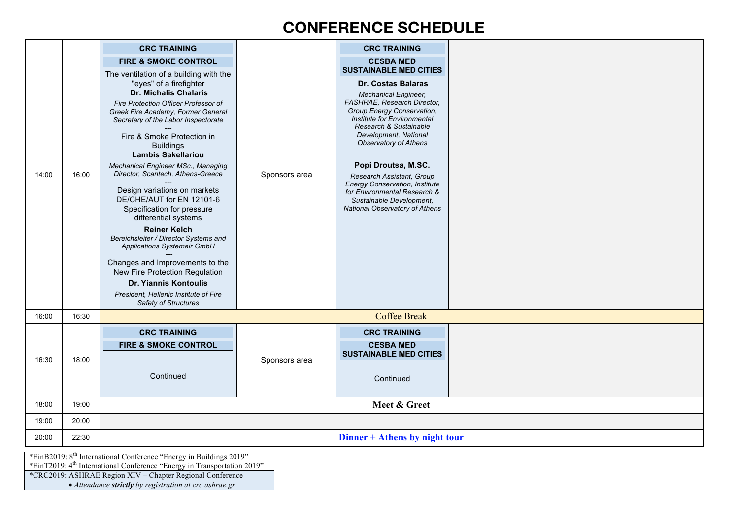|       |       | <b>CRC TRAINING</b>                                                            |               | <b>CRC TRAINING</b>                                                |  |  |  |  |  |
|-------|-------|--------------------------------------------------------------------------------|---------------|--------------------------------------------------------------------|--|--|--|--|--|
|       |       | <b>FIRE &amp; SMOKE CONTROL</b>                                                |               | <b>CESBA MED</b>                                                   |  |  |  |  |  |
|       |       | The ventilation of a building with the                                         |               | <b>SUSTAINABLE MED CITIES</b>                                      |  |  |  |  |  |
|       |       | "eyes" of a firefighter<br><b>Dr. Michalis Chalaris</b>                        |               | Dr. Costas Balaras                                                 |  |  |  |  |  |
|       |       | Fire Protection Officer Professor of                                           |               | <b>Mechanical Engineer,</b><br>FASHRAE, Research Director,         |  |  |  |  |  |
|       | 16:00 | Greek Fire Academy, Former General<br>Secretary of the Labor Inspectorate      |               | Group Energy Conservation,<br>Institute for Environmental          |  |  |  |  |  |
|       |       |                                                                                |               | Research & Sustainable                                             |  |  |  |  |  |
|       |       | Fire & Smoke Protection in<br><b>Buildings</b>                                 |               | Development, National<br><b>Observatory of Athens</b>              |  |  |  |  |  |
|       |       | <b>Lambis Sakellariou</b>                                                      |               |                                                                    |  |  |  |  |  |
| 14:00 |       | Mechanical Engineer MSc., Managing<br>Director, Scantech, Athens-Greece        | Sponsors area | Popi Droutsa, M.SC.                                                |  |  |  |  |  |
|       |       |                                                                                |               | Research Assistant, Group<br><b>Energy Conservation, Institute</b> |  |  |  |  |  |
|       |       | Design variations on markets<br>DE/CHE/AUT for EN 12101-6                      |               | for Environmental Research &<br>Sustainable Development,           |  |  |  |  |  |
|       |       | Specification for pressure<br>differential systems                             |               | <b>National Observatory of Athens</b>                              |  |  |  |  |  |
|       |       | <b>Reiner Kelch</b>                                                            |               |                                                                    |  |  |  |  |  |
|       |       | Bereichsleiter / Director Systems and<br>Applications Systemair GmbH           |               |                                                                    |  |  |  |  |  |
|       |       |                                                                                |               |                                                                    |  |  |  |  |  |
|       |       | Changes and Improvements to the<br>New Fire Protection Regulation              |               |                                                                    |  |  |  |  |  |
|       |       | Dr. Yiannis Kontoulis                                                          |               |                                                                    |  |  |  |  |  |
|       |       | President, Hellenic Institute of Fire<br>Safety of Structures                  |               |                                                                    |  |  |  |  |  |
| 16:00 | 16:30 |                                                                                |               | <b>Coffee Break</b>                                                |  |  |  |  |  |
|       |       | <b>CRC TRAINING</b>                                                            |               | <b>CRC TRAINING</b>                                                |  |  |  |  |  |
|       |       | <b>FIRE &amp; SMOKE CONTROL</b>                                                |               | <b>CESBA MED</b>                                                   |  |  |  |  |  |
| 16:30 | 18:00 |                                                                                | Sponsors area | <b>SUSTAINABLE MED CITIES</b>                                      |  |  |  |  |  |
|       |       | Continued                                                                      |               | Continued                                                          |  |  |  |  |  |
|       |       |                                                                                |               |                                                                    |  |  |  |  |  |
| 18:00 | 19:00 |                                                                                |               | Meet & Greet                                                       |  |  |  |  |  |
| 19:00 | 20:00 |                                                                                |               |                                                                    |  |  |  |  |  |
| 20:00 | 22:30 | Dinner + Athens by night tour                                                  |               |                                                                    |  |  |  |  |  |
|       |       | *EinB2019: 8 <sup>th</sup> International Conference "Energy in Buildings 2019" |               |                                                                    |  |  |  |  |  |

\*EinT2019: 4<sup>th</sup> International Conference "Energy in Transportation 2019"

\*CRC2019: ASHRAE Region XIV – Chapter Regional Conference

• *Attendance strictly by registration at crc.ashrae.gr*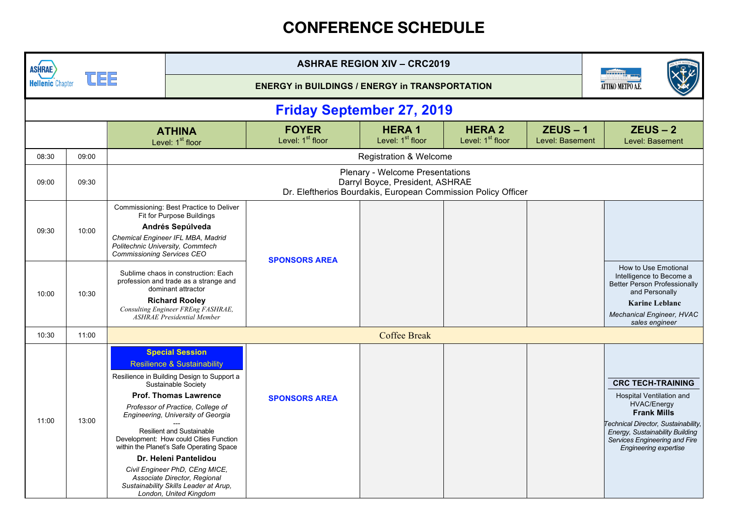| <b>ASHRAE</b>           |       |                                                                       |                                                                                                                                                                                                                                                                                                                                                                                                                                                                                                                                          |                                                       | <b>ASHRAE REGION XIV - CRC2019</b>           |                                               |                               |                                                                                                                                                                                                                                             |  |
|-------------------------|-------|-----------------------------------------------------------------------|------------------------------------------------------------------------------------------------------------------------------------------------------------------------------------------------------------------------------------------------------------------------------------------------------------------------------------------------------------------------------------------------------------------------------------------------------------------------------------------------------------------------------------------|-------------------------------------------------------|----------------------------------------------|-----------------------------------------------|-------------------------------|---------------------------------------------------------------------------------------------------------------------------------------------------------------------------------------------------------------------------------------------|--|
| <b>Hellenic Chapter</b> |       |                                                                       |                                                                                                                                                                                                                                                                                                                                                                                                                                                                                                                                          | <b>ENERGY in BUILDINGS / ENERGY in TRANSPORTATION</b> |                                              |                                               |                               | ATTIKO METPO A.E                                                                                                                                                                                                                            |  |
|                         |       |                                                                       |                                                                                                                                                                                                                                                                                                                                                                                                                                                                                                                                          | <b>Friday September 27, 2019</b>                      |                                              |                                               |                               |                                                                                                                                                                                                                                             |  |
|                         |       |                                                                       | <b>ATHINA</b><br>Level: 1 <sup>st</sup> floor                                                                                                                                                                                                                                                                                                                                                                                                                                                                                            | <b>FOYER</b><br>Level: 1 <sup>st</sup> floor          | <b>HERA1</b><br>Level: 1 <sup>st</sup> floor | <b>HERA 2</b><br>Level: 1 <sup>st</sup> floor | $ZEUS - 1$<br>Level: Basement | $ZEUS - 2$<br>Level: Basement                                                                                                                                                                                                               |  |
| 08:30                   | 09:00 |                                                                       |                                                                                                                                                                                                                                                                                                                                                                                                                                                                                                                                          |                                                       | <b>Registration &amp; Welcome</b>            |                                               |                               |                                                                                                                                                                                                                                             |  |
| 09:00                   | 09:30 |                                                                       | <b>Plenary - Welcome Presentations</b><br>Darryl Boyce, President, ASHRAE<br>Dr. Eleftherios Bourdakis, European Commission Policy Officer                                                                                                                                                                                                                                                                                                                                                                                               |                                                       |                                              |                                               |                               |                                                                                                                                                                                                                                             |  |
| 09:30                   | 10:00 | Politechnic University, Commtech<br><b>Commissioning Services CEO</b> | Commissioning: Best Practice to Deliver<br>Fit for Purpose Buildings<br>Andrés Sepúlveda<br>Chemical Engineer IFL MBA, Madrid                                                                                                                                                                                                                                                                                                                                                                                                            | <b>SPONSORS AREA</b>                                  |                                              |                                               |                               |                                                                                                                                                                                                                                             |  |
| 10:00                   | 10:30 |                                                                       | Sublime chaos in construction: Each<br>profession and trade as a strange and<br>dominant attractor<br><b>Richard Rooley</b><br>Consulting Engineer FREng FASHRAE,<br><b>ASHRAE Presidential Member</b>                                                                                                                                                                                                                                                                                                                                   |                                                       |                                              |                                               |                               | How to Use Emotional<br>Intelligence to Become a<br><b>Better Person Professionally</b><br>and Personally<br><b>Karine Leblanc</b><br><b>Mechanical Engineer, HVAC</b><br>sales engineer                                                    |  |
| 10:30                   | 11:00 |                                                                       |                                                                                                                                                                                                                                                                                                                                                                                                                                                                                                                                          |                                                       | <b>Coffee Break</b>                          |                                               |                               |                                                                                                                                                                                                                                             |  |
| 11:00                   | 13:00 |                                                                       | <b>Special Session</b><br><b>Resilience &amp; Sustainability</b><br>Resilience in Building Design to Support a<br>Sustainable Society<br><b>Prof. Thomas Lawrence</b><br>Professor of Practice, College of<br>Engineering, University of Georgia<br><b>Resilient and Sustainable</b><br>Development: How could Cities Function<br>within the Planet's Safe Operating Space<br>Dr. Heleni Pantelidou<br>Civil Engineer PhD, CEng MICE,<br>Associate Director, Regional<br>Sustainability Skills Leader at Arup,<br>London, United Kingdom | <b>SPONSORS AREA</b>                                  |                                              |                                               |                               | <b>CRC TECH-TRAINING</b><br><b>Hospital Ventilation and</b><br><b>HVAC/Energy</b><br><b>Frank Mills</b><br>Technical Director, Sustainability,<br>Energy, Sustainability Building<br>Services Engineering and Fire<br>Engineering expertise |  |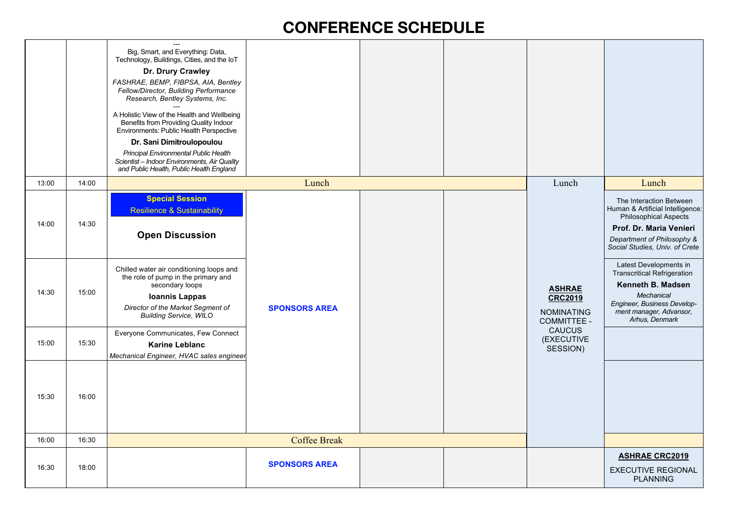|       |       | $---$<br>Big, Smart, and Everything: Data,<br>Technology, Buildings, Cities, and the IoT<br>Dr. Drury Crawley<br>FASHRAE, BEMP, FIBPSA, AIA, Bentley<br>Fellow/Director, Building Performance<br>Research, Bentley Systems, Inc.<br>A Holistic View of the Health and Wellbeing<br>Benefits from Providing Quality Indoor<br>Environments: Public Health Perspective<br>Dr. Sani Dimitroulopoulou<br>Principal Environmental Public Health<br>Scientist - Indoor Environments, Air Quality<br>and Public Health, Public Health England |                      |  |                                                                            |                                                                                                                                                                                        |
|-------|-------|----------------------------------------------------------------------------------------------------------------------------------------------------------------------------------------------------------------------------------------------------------------------------------------------------------------------------------------------------------------------------------------------------------------------------------------------------------------------------------------------------------------------------------------|----------------------|--|----------------------------------------------------------------------------|----------------------------------------------------------------------------------------------------------------------------------------------------------------------------------------|
| 13:00 | 14:00 |                                                                                                                                                                                                                                                                                                                                                                                                                                                                                                                                        | Lunch                |  | Lunch                                                                      | Lunch                                                                                                                                                                                  |
| 14:00 | 14:30 | <b>Special Session</b><br><b>Resilience &amp; Sustainability</b><br><b>Open Discussion</b>                                                                                                                                                                                                                                                                                                                                                                                                                                             |                      |  |                                                                            | The Interaction Between<br>Human & Artificial Intelligence:<br><b>Philosophical Aspects</b><br>Prof. Dr. Maria Venieri<br>Department of Philosophy &<br>Social Studies, Univ. of Crete |
| 14:30 | 15:00 | Chilled water air conditioning loops and<br>the role of pump in the primary and<br>secondary loops<br><b>Ioannis Lappas</b><br>Director of the Market Segment of<br><b>Building Service, WILO</b>                                                                                                                                                                                                                                                                                                                                      | <b>SPONSORS AREA</b> |  | <b>ASHRAE</b><br><b>CRC2019</b><br><b>NOMINATING</b><br><b>COMMITTEE -</b> | Latest Developments in<br><b>Transcritical Refrigeration</b><br>Kenneth B. Madsen<br>Mechanical<br>Engineer, Business Develop-<br>ment manager, Advansor,<br>Arhus, Denmark            |
| 15:00 | 15:30 | Everyone Communicates, Few Connect<br><b>Karine Leblanc</b><br>Mechanical Engineer, HVAC sales engineer                                                                                                                                                                                                                                                                                                                                                                                                                                |                      |  | CAUCUS<br>(EXECUTIVE<br>SESSION)                                           |                                                                                                                                                                                        |
| 15:30 | 16:00 |                                                                                                                                                                                                                                                                                                                                                                                                                                                                                                                                        |                      |  |                                                                            |                                                                                                                                                                                        |
| 16:00 | 16:30 |                                                                                                                                                                                                                                                                                                                                                                                                                                                                                                                                        | <b>Coffee Break</b>  |  |                                                                            |                                                                                                                                                                                        |
| 16:30 | 18:00 |                                                                                                                                                                                                                                                                                                                                                                                                                                                                                                                                        | <b>SPONSORS AREA</b> |  |                                                                            | <b>ASHRAE CRC2019</b><br><b>EXECUTIVE REGIONAL</b><br><b>PLANNING</b>                                                                                                                  |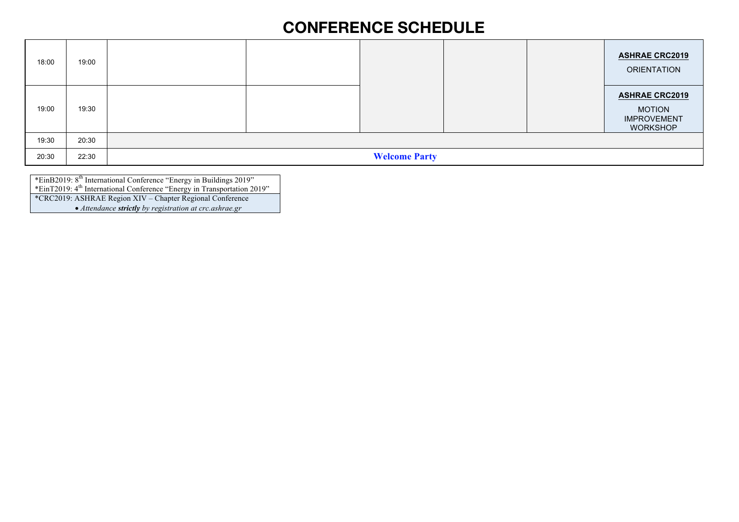| 18:00 | 19:00 |                      | <b>ASHRAE CRC2019</b><br><b>ORIENTATION</b>                                     |
|-------|-------|----------------------|---------------------------------------------------------------------------------|
| 19:00 | 19:30 |                      | <b>ASHRAE CRC2019</b><br><b>MOTION</b><br><b>IMPROVEMENT</b><br><b>WORKSHOP</b> |
| 19:30 | 20:30 |                      |                                                                                 |
| 20:30 | 22:30 | <b>Welcome Party</b> |                                                                                 |

\*EinB2019: 8th International Conference "Energy in Buildings 2019" \*EinT2019: 4<sup>th</sup> International Conference "Energy in Transportation 2019" \*CRC2019: ASHRAE Region XIV – Chapter Regional Conference • *Attendance strictly by registration at crc.ashrae.gr*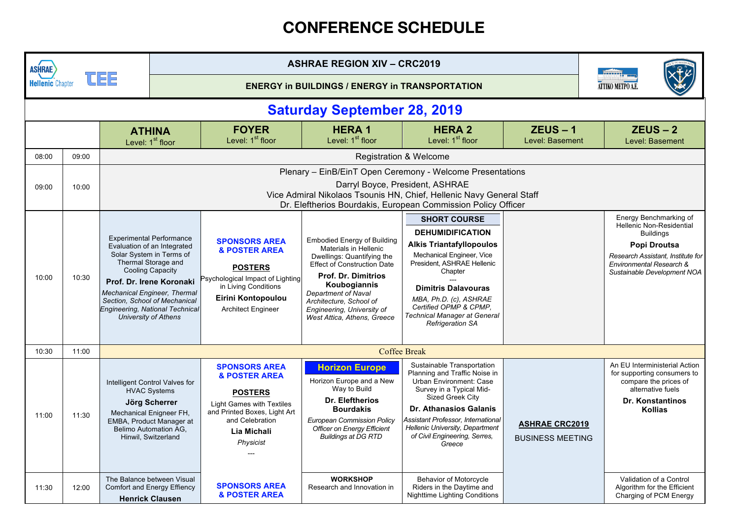| <b>ASHRAE</b>           |       |                                                                                                                                                                                                                                                                                                                                                                                                                                                                     | <b>ASHRAE REGION XIV - CRC2019</b>                                                                                                                                                                                                    |                                                                                                                                                                                       |                                                                                                                                                                                                                                                                                              |                                                                                                                                                                                                                                                                                                             |                                                  |  |                                                                                                                                                                                               |  |
|-------------------------|-------|---------------------------------------------------------------------------------------------------------------------------------------------------------------------------------------------------------------------------------------------------------------------------------------------------------------------------------------------------------------------------------------------------------------------------------------------------------------------|---------------------------------------------------------------------------------------------------------------------------------------------------------------------------------------------------------------------------------------|---------------------------------------------------------------------------------------------------------------------------------------------------------------------------------------|----------------------------------------------------------------------------------------------------------------------------------------------------------------------------------------------------------------------------------------------------------------------------------------------|-------------------------------------------------------------------------------------------------------------------------------------------------------------------------------------------------------------------------------------------------------------------------------------------------------------|--------------------------------------------------|--|-----------------------------------------------------------------------------------------------------------------------------------------------------------------------------------------------|--|
| <b>Hellenic Chapter</b> |       | <u>ICIEIE</u>                                                                                                                                                                                                                                                                                                                                                                                                                                                       |                                                                                                                                                                                                                                       | <b>ENERGY in BUILDINGS / ENERGY in TRANSPORTATION</b>                                                                                                                                 |                                                                                                                                                                                                                                                                                              |                                                                                                                                                                                                                                                                                                             |                                                  |  | ATTIKO METPO A.I                                                                                                                                                                              |  |
|                         |       |                                                                                                                                                                                                                                                                                                                                                                                                                                                                     |                                                                                                                                                                                                                                       |                                                                                                                                                                                       | <b>Saturday September 28, 2019</b>                                                                                                                                                                                                                                                           |                                                                                                                                                                                                                                                                                                             |                                                  |  |                                                                                                                                                                                               |  |
|                         |       |                                                                                                                                                                                                                                                                                                                                                                                                                                                                     | <b>ATHINA</b><br>Level: 1 <sup>st</sup> floor                                                                                                                                                                                         | <b>FOYER</b><br>Level: 1 <sup>st</sup> floor                                                                                                                                          | <b>HERA1</b><br>Level: 1 <sup>st</sup> floor                                                                                                                                                                                                                                                 | <b>HERA 2</b><br>Level: 1 <sup>st</sup> floor                                                                                                                                                                                                                                                               | $ZEUS - 1$<br>Level: Basement                    |  | $ZEUS - 2$<br>Level: Basement                                                                                                                                                                 |  |
| 08:00                   | 09:00 |                                                                                                                                                                                                                                                                                                                                                                                                                                                                     |                                                                                                                                                                                                                                       |                                                                                                                                                                                       |                                                                                                                                                                                                                                                                                              | <b>Registration &amp; Welcome</b>                                                                                                                                                                                                                                                                           |                                                  |  |                                                                                                                                                                                               |  |
| 09:00                   | 10:00 |                                                                                                                                                                                                                                                                                                                                                                                                                                                                     | Plenary - EinB/EinT Open Ceremony - Welcome Presentations<br>Darryl Boyce, President, ASHRAE<br>Vice Admiral Nikolaos Tsounis HN, Chief, Hellenic Navy General Staff<br>Dr. Eleftherios Bourdakis, European Commission Policy Officer |                                                                                                                                                                                       |                                                                                                                                                                                                                                                                                              |                                                                                                                                                                                                                                                                                                             |                                                  |  |                                                                                                                                                                                               |  |
| 10:00                   | 10:30 | <b>Experimental Performance</b><br><b>SPONSORS AREA</b><br>Evaluation of an Integrated<br><b>&amp; POSTER AREA</b><br>Solar System in Terms of<br>Thermal Storage and<br><b>POSTERS</b><br><b>Cooling Capacity</b><br>Prof. Dr. Irene Koronaki<br>in Living Conditions<br><b>Mechanical Engineer, Thermal</b><br>Eirini Kontopoulou<br>Section, School of Mechanical<br>Engineering, National Technical<br><b>Architect Engineer</b><br><b>University of Athens</b> |                                                                                                                                                                                                                                       | Psychological Impact of Lighting                                                                                                                                                      | <b>Embodied Energy of Building</b><br>Materials in Hellenic<br>Dwellings: Quantifying the<br><b>Effect of Construction Date</b><br><b>Prof. Dr. Dimitrios</b><br>Koubogiannis<br>Department of Naval<br>Architecture, School of<br>Engineering, University of<br>West Attica, Athens, Greece | <b>SHORT COURSE</b><br><b>DEHUMIDIFICATION</b><br><b>Alkis Triantafyllopoulos</b><br><b>Mechanical Engineer, Vice</b><br>President, ASHRAE Hellenic<br>Chapter<br><b>Dimitris Dalavouras</b><br>MBA, Ph.D. (c), ASHRAE<br>Certified OPMP & CPMP.<br>Technical Manager at General<br><b>Refrigeration SA</b> |                                                  |  | Energy Benchmarking of<br><b>Hellenic Non-Residential</b><br><b>Buildings</b><br>Popi Droutsa<br>Research Assistant, Institute for<br>Environmental Research &<br>Sustainable Development NOA |  |
| 10:30                   | 11:00 |                                                                                                                                                                                                                                                                                                                                                                                                                                                                     |                                                                                                                                                                                                                                       |                                                                                                                                                                                       |                                                                                                                                                                                                                                                                                              | <b>Coffee Break</b>                                                                                                                                                                                                                                                                                         |                                                  |  |                                                                                                                                                                                               |  |
| 11:00                   | 11:30 |                                                                                                                                                                                                                                                                                                                                                                                                                                                                     | Intelligent Control Valves for<br><b>HVAC Systems</b><br>Jörg Scherrer<br>Mechanical Enigneer FH,<br>EMBA, Product Manager at<br>Belimo Automation AG,<br>Hinwil, Switzerland                                                         | <b>SPONSORS AREA</b><br><b>&amp; POSTER AREA</b><br><b>POSTERS</b><br><b>Light Games with Textiles</b><br>and Printed Boxes, Light Art<br>and Celebration<br>Lia Michali<br>Physicist | <b>Horizon Europe</b><br>Horizon Europe and a New<br>Way to Build<br>Dr. Eleftherios<br><b>Bourdakis</b><br><b>European Commission Policy</b><br>Officer on Energy Efficient<br><b>Buildings at DG RTD</b>                                                                                   | Sustainable Transportation<br>Planning and Traffic Noise in<br><b>Urban Environment: Case</b><br>Survey in a Typical Mid-<br><b>Sized Greek City</b><br><b>Dr. Athanasios Galanis</b><br>Assistant Professor, International<br>Hellenic University, Department<br>of Civil Engineering, Serres,<br>Greece   | <b>ASHRAE CRC2019</b><br><b>BUSINESS MEETING</b> |  | An EU Interministerial Action<br>for supporting consumers to<br>compare the prices of<br>alternative fuels<br><b>Dr. Konstantinos</b><br><b>Kollias</b>                                       |  |
| 11:30                   | 12:00 |                                                                                                                                                                                                                                                                                                                                                                                                                                                                     | The Balance between Visual<br><b>Comfort and Energy Effiency</b><br><b>Henrick Clausen</b>                                                                                                                                            | <b>SPONSORS AREA</b><br><b>&amp; POSTER AREA</b>                                                                                                                                      | <b>WORKSHOP</b><br>Research and Innovation in                                                                                                                                                                                                                                                | <b>Behavior of Motorcycle</b><br>Riders in the Daytime and<br><b>Nighttime Lighting Conditions</b>                                                                                                                                                                                                          |                                                  |  | Validation of a Control<br>Algorithm for the Efficient<br>Charging of PCM Energy                                                                                                              |  |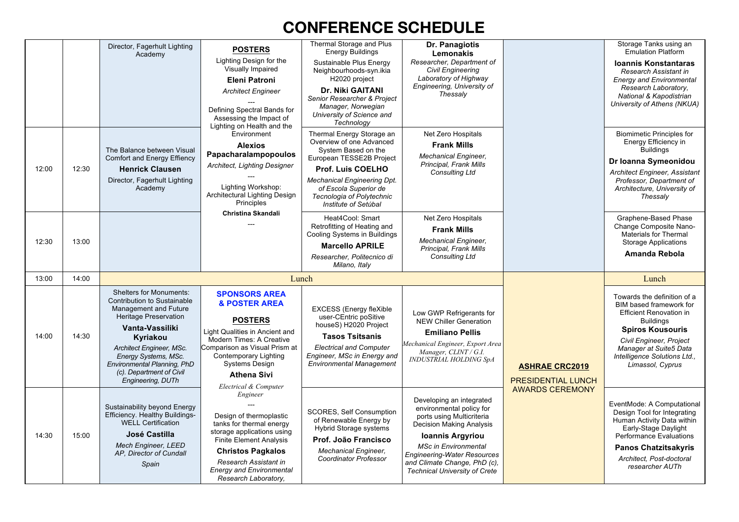|       |       | Director, Fagerhult Lighting<br>Academy                                                                                                                                                                                                                                                   | <b>POSTERS</b><br>Lighting Design for the<br>Visually Impaired<br><b>Eleni Patroni</b><br><b>Architect Engineer</b><br>Defining Spectral Bands for<br>Assessing the Impact of<br>Lighting on Health and the                                                        | Thermal Storage and Plus<br><b>Energy Buildings</b><br>Sustainable Plus Energy<br>Neighbourhoods-syn.ikia<br>H2020 project<br>Dr. Niki GAITANI<br>Senior Researcher & Project<br>Manager, Norwegian<br>University of Science and<br>Technoloav           | Dr. Panagiotis<br>Lemonakis<br>Researcher, Department of<br><b>Civil Engineering</b><br>Laboratory of Highway<br>Engineering, University of<br>Thessalv                                                                                                                        |                                                    | Storage Tanks using an<br><b>Emulation Platform</b><br><b>Ioannis Konstantaras</b><br>Research Assistant in<br><b>Energy and Environmental</b><br>Research Laboratory,<br>National & Kapodistrian<br>University of Athens (NKUA)                 |
|-------|-------|-------------------------------------------------------------------------------------------------------------------------------------------------------------------------------------------------------------------------------------------------------------------------------------------|--------------------------------------------------------------------------------------------------------------------------------------------------------------------------------------------------------------------------------------------------------------------|----------------------------------------------------------------------------------------------------------------------------------------------------------------------------------------------------------------------------------------------------------|--------------------------------------------------------------------------------------------------------------------------------------------------------------------------------------------------------------------------------------------------------------------------------|----------------------------------------------------|--------------------------------------------------------------------------------------------------------------------------------------------------------------------------------------------------------------------------------------------------|
| 12:00 | 12:30 | The Balance between Visual<br><b>Comfort and Energy Effiency</b><br><b>Henrick Clausen</b><br>Director, Fagerhult Lighting<br>Academy                                                                                                                                                     | Environment<br><b>Alexios</b><br>Papacharalampopoulos<br>Architect, Lighting Designer<br>Lighting Workshop:<br>Architectural Lighting Design<br>Principles                                                                                                         | Thermal Energy Storage an<br>Overview of one Advanced<br>System Based on the<br>European TESSE2B Project<br><b>Prof. Luis COELHO</b><br><b>Mechanical Engineering Dpt.</b><br>of Escola Superior de<br>Tecnologia of Polytechnic<br>Institute of Setúbal | Net Zero Hospitals<br><b>Frank Mills</b><br><b>Mechanical Engineer,</b><br>Principal, Frank Mills<br><b>Consulting Ltd</b>                                                                                                                                                     |                                                    | <b>Biomimetic Principles for</b><br>Energy Efficiency in<br><b>Buildings</b><br>Dr Ioanna Symeonidou<br><b>Architect Engineer, Assistant</b><br>Professor, Department of<br>Architecture, University of<br>Thessalv                              |
| 12:30 | 13:00 |                                                                                                                                                                                                                                                                                           | Christina Skandali                                                                                                                                                                                                                                                 | Heat4Cool: Smart<br>Retrofitting of Heating and<br>Cooling Systems in Buildings<br><b>Marcello APRILE</b><br>Researcher. Politecnico di<br>Milano, Italy                                                                                                 | Net Zero Hospitals<br><b>Frank Mills</b><br><b>Mechanical Engineer,</b><br>Principal, Frank Mills<br>Consulting Ltd                                                                                                                                                            |                                                    | Graphene-Based Phase<br>Change Composite Nano-<br>Materials for Thermal<br><b>Storage Applications</b><br>Amanda Rebola                                                                                                                          |
| 13:00 | 14:00 |                                                                                                                                                                                                                                                                                           |                                                                                                                                                                                                                                                                    | Lunch                                                                                                                                                                                                                                                    |                                                                                                                                                                                                                                                                                |                                                    | Lunch                                                                                                                                                                                                                                            |
| 14:00 | 14:30 | <b>Shelters for Monuments:</b><br>Contribution to Sustainable<br>Management and Future<br>Heritage Preservation<br>Vanta-Vassiliki<br>Kyriakou<br>Architect Engineer, MSc.<br>Energy Systems, MSc.<br>Environmental Planning, PhD<br>(c). Department of Civil<br><b>Engineering, DUTh</b> | <b>SPONSORS AREA</b><br><b>&amp; POSTER AREA</b><br><b>POSTERS</b><br>Light Qualities in Ancient and<br>Modern Times: A Creative<br>Comparison as Visual Prism at<br>Contemporary Lighting<br><b>Systems Design</b><br><b>Athena Sivi</b><br>Electrical & Computer | <b>EXCESS (Energy fleXible</b><br>user-CEntric poSitive<br>houseS) H2020 Project<br><b>Tasos Tsitsanis</b><br><b>Electrical and Computer</b><br>Engineer, MSc in Energy and<br><b>Environmental Management</b>                                           | Low GWP Refrigerants for<br><b>NEW Chiller Generation</b><br><b>Emiliano Pellis</b><br>Mechanical Engineer, Export Area<br>Manager, CLINT / G.I.<br>INDUSTRIAL HOLDING SpA                                                                                                     | <b>ASHRAE CRC2019</b><br><b>PRESIDENTIAL LUNCH</b> | Towards the definition of a<br>BIM based framework for<br><b>Efficient Renovation in</b><br><b>Buildings</b><br><b>Spiros Kousouris</b><br>Civil Engineer, Project<br>Manager at Suite5 Data<br>Intelligence Solutions Ltd.,<br>Limassol, Cyprus |
| 14:30 | 15:00 | Sustainability beyond Energy<br>Efficiency. Healthy Buildings-<br><b>WELL Certification</b><br>José Castilla<br><b>Mech Engineer, LEED</b><br>AP, Director of Cundall<br>Spain                                                                                                            | Engineer<br>Design of thermoplastic<br>tanks for thermal energy<br>storage applications using<br><b>Finite Element Analysis</b><br><b>Christos Pagkalos</b><br>Research Assistant in<br><b>Energy and Environmental</b><br>Research Laboratory,                    | <b>SCORES, Self Consumption</b><br>of Renewable Energy by<br><b>Hybrid Storage systems</b><br>Prof. João Francisco<br><b>Mechanical Engineer,</b><br><b>Coordinator Professor</b>                                                                        | Developing an integrated<br>environmental policy for<br>ports using Multicriteria<br>Decision Making Analysis<br>Ioannis Argyriou<br><b>MSc in Environmental</b><br><b>Engineering-Water Resources</b><br>and Climate Change, PhD (c),<br><b>Technical University of Crete</b> | <b>AWARDS CEREMONY</b>                             | EventMode: A Computational<br>Design Tool for Integrating<br>Human Activity Data within<br>Early-Stage Daylight<br>Performance Evaluations<br><b>Panos Chatzitsakyris</b><br>Architect, Post-doctoral<br>researcher AUTh                         |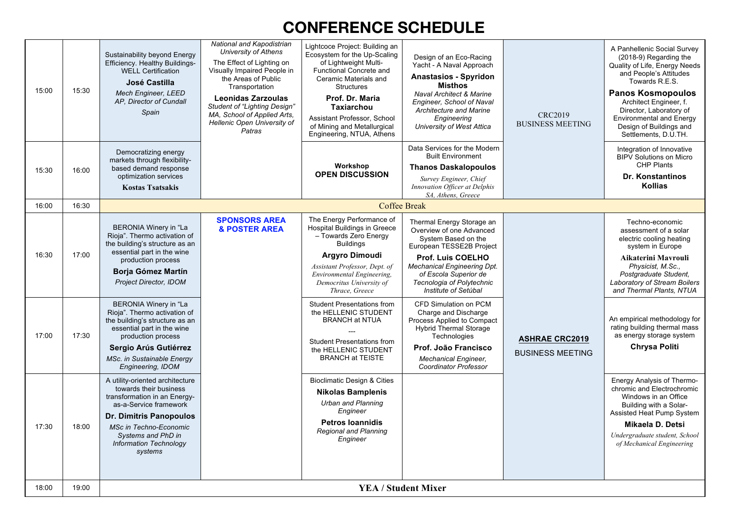| 15:00 | 15:30 | Sustainability beyond Energy<br>Efficiency. Healthy Buildings-<br><b>WELL Certification</b><br>José Castilla<br>Mech Engineer, LEED<br>AP, Director of Cundall<br>Spain                                                                                                   | National and Kapodistrian<br>University of Athens<br>The Effect of Lighting on<br>Visually Impaired People in<br>the Areas of Public<br>Transportation<br><b>Leonidas Zarzoulas</b><br><b>Student of "Lighting Design"</b><br>MA, School of Applied Arts,<br>Hellenic Open University of<br>Patras | Lightcoce Project: Building an<br>Ecosystem for the Up-Scaling<br>of Lightweight Multi-<br>Functional Concrete and<br>Ceramic Materials and<br><b>Structures</b><br>Prof. Dr. Maria<br><b>Taxiarchou</b><br>Assistant Professor, School<br>of Mining and Metallurgical<br>Engineering, NTUA, Athens              | Design of an Eco-Racing<br>Yacht - A Naval Approach<br><b>Anastasios - Spyridon</b><br>Misthos<br><b>Naval Architect &amp; Marine</b><br>Engineer, School of Naval<br>Architecture and Marine<br>Engineering<br>University of West Attica                                                                 | <b>CRC2019</b><br><b>BUSINESS MEETING</b>        | A Panhellenic Social Survey<br>(2018-9) Regarding the<br>Quality of Life, Energy Needs<br>and People's Attitudes<br>Towards R.E.S.<br><b>Panos Kosmopoulos</b><br>Architect Engineer, f.<br>Director, Laboratory of<br><b>Environmental and Energy</b><br>Design of Buildings and<br>Settlements, D.U.TH. |
|-------|-------|---------------------------------------------------------------------------------------------------------------------------------------------------------------------------------------------------------------------------------------------------------------------------|----------------------------------------------------------------------------------------------------------------------------------------------------------------------------------------------------------------------------------------------------------------------------------------------------|------------------------------------------------------------------------------------------------------------------------------------------------------------------------------------------------------------------------------------------------------------------------------------------------------------------|-----------------------------------------------------------------------------------------------------------------------------------------------------------------------------------------------------------------------------------------------------------------------------------------------------------|--------------------------------------------------|-----------------------------------------------------------------------------------------------------------------------------------------------------------------------------------------------------------------------------------------------------------------------------------------------------------|
| 15:30 | 16:00 | Democratizing energy<br>markets through flexibility-<br>based demand response<br>optimization services<br><b>Kostas Tsatsakis</b>                                                                                                                                         |                                                                                                                                                                                                                                                                                                    | Workshop<br><b>OPEN DISCUSSION</b>                                                                                                                                                                                                                                                                               | Data Services for the Modern<br><b>Built Environment</b><br><b>Thanos Daskalopoulos</b><br>Survey Engineer, Chief<br>Innovation Officer at Delphis<br>SA, Athens, Greece                                                                                                                                  |                                                  | Integration of Innovative<br><b>BIPV Solutions on Micro</b><br><b>CHP Plants</b><br>Dr. Konstantinos<br><b>Kollias</b>                                                                                                                                                                                    |
| 16:00 | 16:30 |                                                                                                                                                                                                                                                                           |                                                                                                                                                                                                                                                                                                    |                                                                                                                                                                                                                                                                                                                  | <b>Coffee Break</b>                                                                                                                                                                                                                                                                                       |                                                  |                                                                                                                                                                                                                                                                                                           |
| 16:30 | 17:00 | <b>BERONIA Winery in "La</b><br>Rioja". Thermo activation of<br>the building's structure as an<br>essential part in the wine<br>production process<br><b>Borja Gómez Martín</b><br>Project Director, IDOM<br><b>BERONIA Winery in "La</b><br>Rioja". Thermo activation of | <b>SPONSORS AREA</b><br><b>&amp; POSTER AREA</b>                                                                                                                                                                                                                                                   | The Energy Performance of<br><b>Hospital Buildings in Greece</b><br>- Towards Zero Energy<br><b>Buildings</b><br><b>Argyro Dimoudi</b><br>Assistant Professor, Dept. of<br>Environmental Engineering,<br>Democritus University of<br>Thrace, Greece<br><b>Student Presentations from</b><br>the HELLENIC STUDENT | Thermal Energy Storage an<br>Overview of one Advanced<br>System Based on the<br>European TESSE2B Project<br><b>Prof. Luis COELHO</b><br><b>Mechanical Engineering Dpt.</b><br>of Escola Superior de<br>Tecnologia of Polytechnic<br>Institute of Setúbal<br>CFD Simulation on PCM<br>Charge and Discharge |                                                  | Techno-economic<br>assessment of a solar<br>electric cooling heating<br>system in Europe<br>Aikaterini Mavrouli<br>Physicist, M.Sc.,<br>Postgraduate Student,<br>Laboratory of Stream Boilers<br>and Thermal Plants, NTUA                                                                                 |
| 17:00 | 17:30 | the building's structure as an<br>essential part in the wine<br>production process<br>Sergio Arús Gutiérrez<br>MSc. in Sustainable Energy<br>Engineering, IDOM                                                                                                            |                                                                                                                                                                                                                                                                                                    | <b>BRANCH at NTUA</b><br><b>Student Presentations from</b><br>the HELLENIC STUDENT<br><b>BRANCH at TEISTE</b>                                                                                                                                                                                                    | Process Applied to Compact<br><b>Hybrid Thermal Storage</b><br>Technologies<br>Prof. João Francisco<br><b>Mechanical Engineer,</b><br><b>Coordinator Professor</b>                                                                                                                                        | <b>ASHRAE CRC2019</b><br><b>BUSINESS MEETING</b> | An empirical methodology for<br>rating building thermal mass<br>as energy storage system<br><b>Chrysa Politi</b>                                                                                                                                                                                          |
| 17:30 | 18:00 | A utility-oriented architecture<br>towards their business<br>transformation in an Energy-<br>as-a-Service framework<br><b>Dr. Dimitris Panopoulos</b><br><b>MSc in Techno-Economic</b><br>Systems and PhD in<br><b>Information Technology</b><br>systems                  |                                                                                                                                                                                                                                                                                                    | <b>Bioclimatic Design &amp; Cities</b><br><b>Nikolas Bamplenis</b><br><b>Urban and Planning</b><br>Engineer<br><b>Petros Ioannidis</b><br><b>Regional and Planning</b><br>Engineer                                                                                                                               |                                                                                                                                                                                                                                                                                                           |                                                  | <b>Energy Analysis of Thermo-</b><br>chromic and Electrochromic<br>Windows in an Office<br>Building with a Solar-<br>Assisted Heat Pump System<br>Mikaela D. Detsi<br>Undergraduate student, School<br>of Mechanical Engineering                                                                          |
| 18:00 | 19:00 |                                                                                                                                                                                                                                                                           |                                                                                                                                                                                                                                                                                                    | <b>YEA / Student Mixer</b>                                                                                                                                                                                                                                                                                       |                                                                                                                                                                                                                                                                                                           |                                                  |                                                                                                                                                                                                                                                                                                           |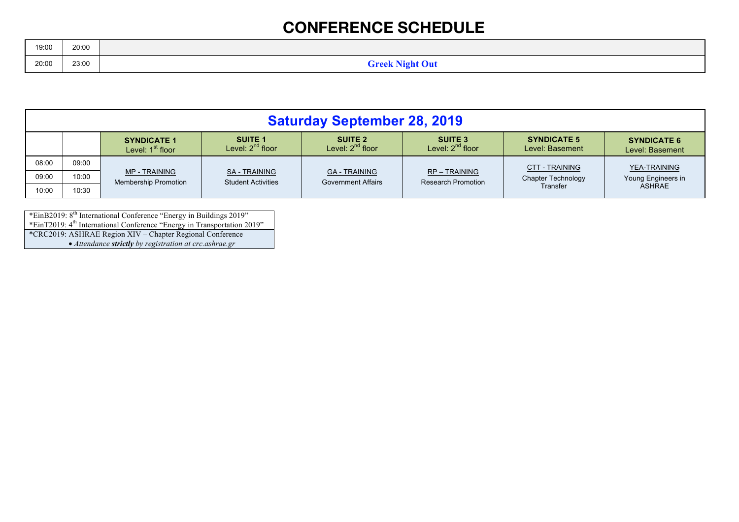| 19:00 | 20:00 |                        |
|-------|-------|------------------------|
|       |       | <b>Greek Night Out</b> |
| 20:00 | 23:00 | 0                      |

|       | <b>Saturday September 28, 2019</b> |                                                     |                                                |                                                   |                                                |                                       |                                       |  |  |  |  |
|-------|------------------------------------|-----------------------------------------------------|------------------------------------------------|---------------------------------------------------|------------------------------------------------|---------------------------------------|---------------------------------------|--|--|--|--|
|       |                                    | <b>SYNDICATE 1</b><br>Level: 1 <sup>st</sup> floor  | <b>SUITE 1</b><br>Level: 2 <sup>nd</sup> floor | <b>SUITE 2</b><br>Level: $2^{nd}$ floor           | <b>SUITE 3</b><br>Level: 2 <sup>nd</sup> floor | <b>SYNDICATE 5</b><br>Level: Basement | <b>SYNDICATE 6</b><br>Level: Basement |  |  |  |  |
| 08:00 | 09:00                              |                                                     |                                                |                                                   |                                                | <b>CTT - TRAINING</b>                 | YEA-TRAINING                          |  |  |  |  |
| 09:00 | 10:00                              | <b>MP - TRAINING</b><br><b>Membership Promotion</b> | SA - TRAINING<br><b>Student Activities</b>     | <b>GA - TRAINING</b><br><b>Government Affairs</b> | RP - TRAINING<br><b>Research Promotion</b>     | <b>Chapter Technology</b>             | Young Engineers in                    |  |  |  |  |
| 10:00 | 10:30                              |                                                     |                                                |                                                   |                                                | Transfer                              | ASHRAE                                |  |  |  |  |

\*EinB2019: 8<sup>th</sup> International Conference "Energy in Buildings 2019" \*EinT2019: 4<sup>th</sup> International Conference "Energy in Transportation 2019" \*CRC2019: ASHRAE Region XIV – Chapter Regional Conference • *Attendance strictly by registration at crc.ashrae.gr*